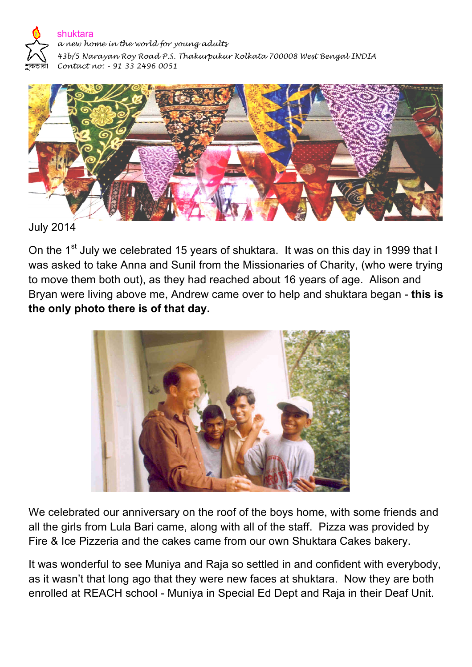

*a new home in the world for young adults*

*43b/5 Narayan Roy Road P.S. Thakurpukur Kolkata 700008 West Bengal INDIA Contact no: - 91 33 2496 0051* 



July 2014

On the 1<sup>st</sup> July we celebrated 15 years of shuktara. It was on this day in 1999 that I was asked to take Anna and Sunil from the Missionaries of Charity, (who were trying to move them both out), as they had reached about 16 years of age. Alison and Bryan were living above me, Andrew came over to help and shuktara began - **this is the only photo there is of that day.**



We celebrated our anniversary on the roof of the boys home, with some friends and all the girls from Lula Bari came, along with all of the staff. Pizza was provided by Fire & Ice Pizzeria and the cakes came from our own Shuktara Cakes bakery.

It was wonderful to see Muniya and Raja so settled in and confident with everybody, as it wasn't that long ago that they were new faces at shuktara. Now they are both enrolled at REACH school - Muniya in Special Ed Dept and Raja in their Deaf Unit.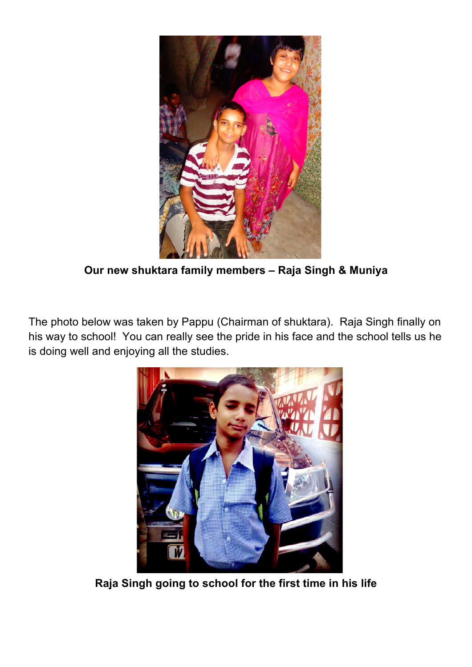

**Our new shuktara family members – Raja Singh & Muniya**

The photo below was taken by Pappu (Chairman of shuktara). Raja Singh finally on his way to school! You can really see the pride in his face and the school tells us he is doing well and enjoying all the studies.



**Raja Singh going to school for the first time in his life**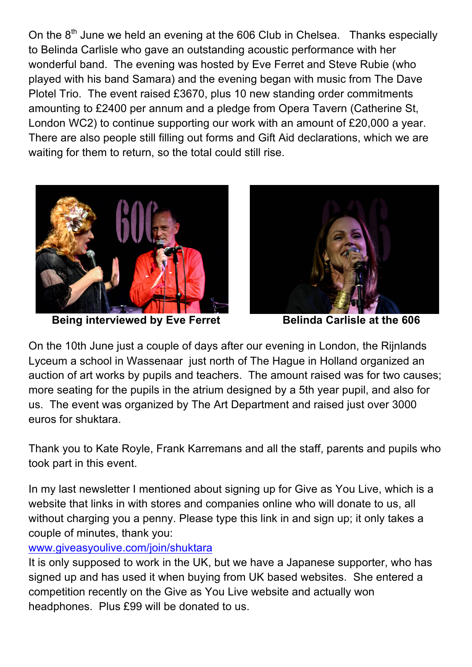On the  $8<sup>th</sup>$  June we held an evening at the 606 Club in Chelsea. Thanks especially to Belinda Carlisle who gave an outstanding acoustic performance with her wonderful band. The evening was hosted by Eve Ferret and Steve Rubie (who played with his band Samara) and the evening began with music from The Dave Plotel Trio. The event raised £3670, plus 10 new standing order commitments amounting to £2400 per annum and a pledge from Opera Tavern (Catherine St, London WC2) to continue supporting our work with an amount of £20,000 a year. There are also people still filling out forms and Gift Aid declarations, which we are waiting for them to return, so the total could still rise.



**Being interviewed by Eve Ferret Belinda Carlisle at the 606** 



On the 10th June just a couple of days after our evening in London, the Rijnlands Lyceum a school in Wassenaar just north of The Hague in Holland organized an auction of art works by pupils and teachers. The amount raised was for two causes; more seating for the pupils in the atrium designed by a 5th year pupil, and also for us. The event was organized by The Art Department and raised just over 3000 euros for shuktara.

Thank you to Kate Royle, Frank Karremans and all the staff, parents and pupils who took part in this event.

In my last newsletter I mentioned about signing up for Give as You Live, which is a website that links in with stores and companies online who will donate to us, all without charging you a penny. Please type this link in and sign up; it only takes a couple of minutes, thank you:

## www.giveasyoulive.com/join/shuktara

It is only supposed to work in the UK, but we have a Japanese supporter, who has signed up and has used it when buying from UK based websites. She entered a competition recently on the Give as You Live website and actually won headphones. Plus £99 will be donated to us.